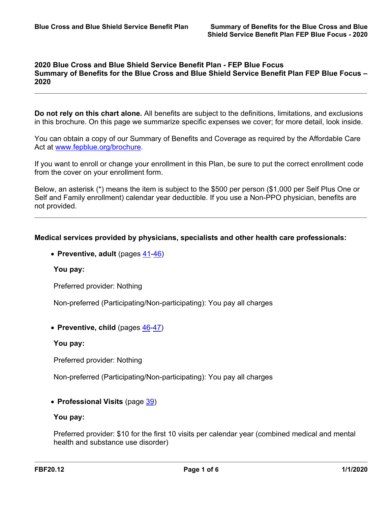# **2020 Blue Cross and Blue Shield Service Benefit Plan - FEP Blue Focus Summary of Benefits for the Blue Cross and Blue Shield Service Benefit Plan FEP Blue Focus – 2020**

**Do not rely on this chart alone.** All benefits are subject to the definitions, limitations, and exclusions in this brochure. On this page we summarize specific expenses we cover; for more detail, look inside.

You can obtain a copy of our Summary of Benefits and Coverage as required by the Affordable Care Act at [www.fepblue.org/brochure.](http://www.fepblue.org/brochure/)

If you want to enroll or change your enrollment in this Plan, be sure to put the correct enrollment code from the cover on your enrollment form.

Below, an asterisk (\*) means the item is subject to the \$500 per person (\$1,000 per Self Plus One or Self and Family enrollment) calendar year deductible. If you use a Non-PPO physician, benefits are not provided.

## **Medical services provided by physicians, specialists and other health care professionals:**

**Preventive, adult** (pages [41](a8376318-ebd6-421f-be63-acf8c88376a1_43c1b3ad-57b8-4576-9ea0-0e45d22ede41.html?v=32493)[-46\)](a8376318-ebd6-421f-be63-acf8c88376a1_b203fa15-f82e-4f9c-a00c-bb7eca7e3e04.html?v=32493)

## **You pay:**

Preferred provider: Nothing

Non-preferred (Participating/Non-participating): You pay all charges

**Preventive, child** (pages [46-](a8376318-ebd6-421f-be63-acf8c88376a1_b203fa15-f82e-4f9c-a00c-bb7eca7e3e04.html?v=32493)[47](a8376318-ebd6-421f-be63-acf8c88376a1_caacf78e-46fe-4d6c-9d7b-3ba11d7d9a62.html?v=32493))

## **You pay:**

Preferred provider: Nothing

Non-preferred (Participating/Non-participating): You pay all charges

# **Professional Visits** (page [39](a8376318-ebd6-421f-be63-acf8c88376a1_cd3f70da-092d-4429-baca-613fa32b4204.html?v=32493))

### **You pay:**

Preferred provider: \$10 for the first 10 visits per calendar year (combined medical and mental health and substance use disorder)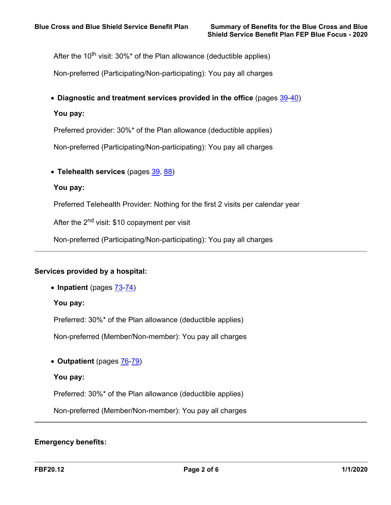After the 10<sup>th</sup> visit: 30%\* of the Plan allowance (deductible applies)

Non-preferred (Participating/Non-participating): You pay all charges

**Diagnostic and treatment services provided in the office** (pages [39](a8376318-ebd6-421f-be63-acf8c88376a1_cd3f70da-092d-4429-baca-613fa32b4204.html?v=32493)-[40\)](a8376318-ebd6-421f-be63-acf8c88376a1_2ff5f4a7-48cf-4174-a047-bec4bbb9e505.html?v=32493)

**You pay:**

Preferred provider: 30%\* of the Plan allowance (deductible applies)

Non-preferred (Participating/Non-participating): You pay all charges

**Telehealth services** (pages [39](a8376318-ebd6-421f-be63-acf8c88376a1_cd3f70da-092d-4429-baca-613fa32b4204.html?v=32493), [88\)](a8376318-ebd6-421f-be63-acf8c88376a1_1194d6e7-35b3-4914-973f-66116ecb4e4b.html?v=32493)

**You pay:**

Preferred Telehealth Provider: Nothing for the first 2 visits per calendar year

After the 2<sup>nd</sup> visit: \$10 copayment per visit

Non-preferred (Participating/Non-participating): You pay all charges

## **Services provided by a hospital:**

**Inpatient** (pages [73](a8376318-ebd6-421f-be63-acf8c88376a1_5c292404-e68a-40c9-801d-4817d80369ff.html?v=32493)[-74\)](a8376318-ebd6-421f-be63-acf8c88376a1_c8d5fb06-2fe7-4983-83ab-bf2ef9d3cf9b.html?v=32493)

**You pay:**

Preferred: 30%\* of the Plan allowance (deductible applies)

Non-preferred (Member/Non-member): You pay all charges

**Outpatient** (pages [76-](a8376318-ebd6-421f-be63-acf8c88376a1_ce3f4c71-edd2-4e23-a401-35c76cc805bc.html?v=32493)[79](a8376318-ebd6-421f-be63-acf8c88376a1_cff2b4b9-9496-4e1e-bac1-f8687bb522a8.html?v=32493))

## **You pay:**

Preferred: 30%\* of the Plan allowance (deductible applies)

Non-preferred (Member/Non-member): You pay all charges

# **Emergency benefits:**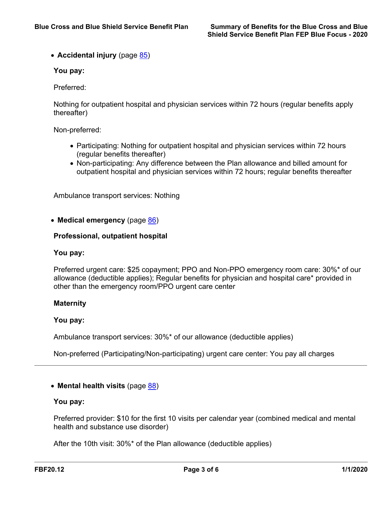• **Accidental injury** (page **85**)

# **You pay:**

Preferred:

Nothing for outpatient hospital and physician services within 72 hours (regular benefits apply thereafter)

Non-preferred:

- Participating: Nothing for outpatient hospital and physician services within 72 hours (regular benefits thereafter)
- Non-participating: Any difference between the Plan allowance and billed amount for outpatient hospital and physician services within 72 hours; regular benefits thereafter

Ambulance transport services: Nothing

**Medical emergency** (page [86\)](a8376318-ebd6-421f-be63-acf8c88376a1_40f3323c-860b-4a56-8325-477eeafa15d0.html?v=32493)

### **Professional, outpatient hospital**

#### **You pay:**

Preferred urgent care: \$25 copayment; PPO and Non-PPO emergency room care: 30%\* of our allowance (deductible applies); Regular benefits for physician and hospital care\* provided in other than the emergency room/PPO urgent care center

## **Maternity**

### **You pay:**

Ambulance transport services: 30%\* of our allowance (deductible applies)

Non-preferred (Participating/Non-participating) urgent care center: You pay all charges

## **Mental health visits** (page [88\)](a8376318-ebd6-421f-be63-acf8c88376a1_1194d6e7-35b3-4914-973f-66116ecb4e4b.html?v=32493)

#### **You pay:**

Preferred provider: \$10 for the first 10 visits per calendar year (combined medical and mental health and substance use disorder)

After the 10th visit: 30%\* of the Plan allowance (deductible applies)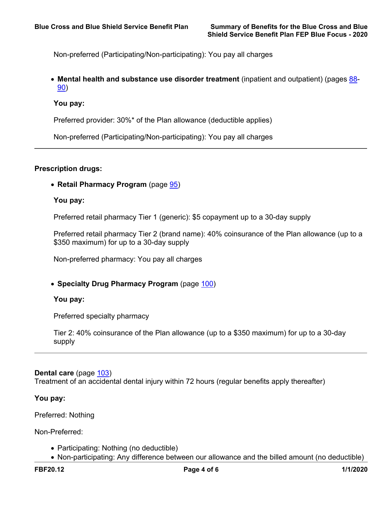Non-preferred (Participating/Non-participating): You pay all charges

 **Mental health and substance use disorder treatment** (inpatient and outpatient) (pages [88-](a8376318-ebd6-421f-be63-acf8c88376a1_1194d6e7-35b3-4914-973f-66116ecb4e4b.html?v=32493) [90\)](a8376318-ebd6-421f-be63-acf8c88376a1_0a3a6040-0732-4d4d-92f7-1e0bb7eaa028.html?v=32493)

### **You pay:**

Preferred provider: 30%\* of the Plan allowance (deductible applies)

Non-preferred (Participating/Non-participating): You pay all charges

# **Prescription drugs:**

**Retail Pharmacy Program** (page [95\)](a8376318-ebd6-421f-be63-acf8c88376a1_da51508d-799d-4d00-937a-7b1337ffb505.html?v=32493)

#### **You pay:**

Preferred retail pharmacy Tier 1 (generic): \$5 copayment up to a 30-day supply

Preferred retail pharmacy Tier 2 (brand name): 40% coinsurance of the Plan allowance (up to a \$350 maximum) for up to a 30-day supply

Non-preferred pharmacy: You pay all charges

**Specialty Drug Pharmacy Program** (page [100](a8376318-ebd6-421f-be63-acf8c88376a1_88ebef35-bda0-430b-98b4-d0f71a764efa.html?v=32493))

**You pay:**

Preferred specialty pharmacy

Tier 2: 40% coinsurance of the Plan allowance (up to a \$350 maximum) for up to a 30-day supply

#### **Dental care** (page [103\)](a8376318-ebd6-421f-be63-acf8c88376a1_9eb0d41e-c108-4222-b78c-210ec5833e61.html?v=32493)

Treatment of an accidental dental injury within 72 hours (regular benefits apply thereafter)

#### **You pay:**

Preferred: Nothing

Non-Preferred:

• Participating: Nothing (no deductible)

Non-participating: Any difference between our allowance and the billed amount (no deductible)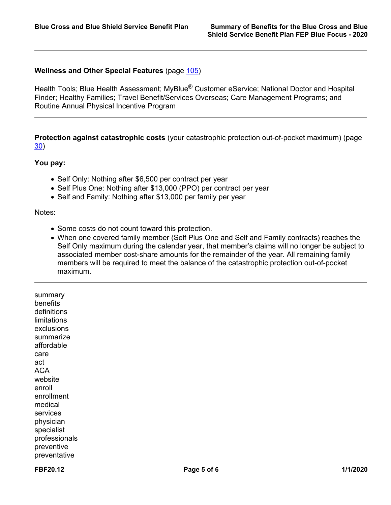# **Wellness and Other Special Features** (page [105\)](a8376318-ebd6-421f-be63-acf8c88376a1_168edce8-8610-4bcb-a3d4-dfc1ef392c63.html?v=32493)

Health Tools; Blue Health Assessment; MyBlue<sup>®</sup> Customer eService; National Doctor and Hospital Finder; Healthy Families; Travel Benefit/Services Overseas; Care Management Programs; and Routine Annual Physical Incentive Program

**Protection against catastrophic costs** (your catastrophic protection out-of-pocket maximum) (page [30\)](a8376318-ebd6-421f-be63-acf8c88376a1_e990aeba-8793-455d-8874-44b89dd6f96e.html?v=32493)

#### **You pay:**

- Self Only: Nothing after \$6,500 per contract per year
- Self Plus One: Nothing after \$13,000 (PPO) per contract per year
- Self and Family: Nothing after \$13,000 per family per year

#### Notes:

- Some costs do not count toward this protection.
- When one covered family member (Self Plus One and Self and Family contracts) reaches the Self Only maximum during the calendar year, that member's claims will no longer be subject to associated member cost-share amounts for the remainder of the year. All remaining family members will be required to meet the balance of the catastrophic protection out-of-pocket maximum.

summary benefits definitions limitations exclusions summarize affordable care act ACA website enroll enrollment medical services physician specialist professionals preventive preventative